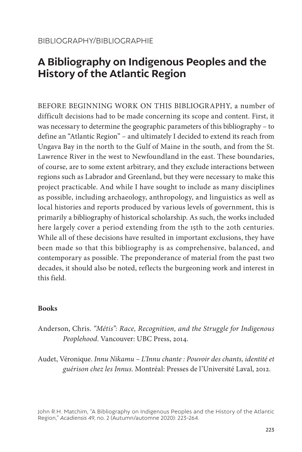# **A Bibliography on Indigenous Peoples and the History of the Atlantic Region**

BEFORE BEGINNING WORK ON THIS BIBLIOGRAPHY, a number of difficult decisions had to be made concerning its scope and content. First, it was necessary to determine the geographic parameters of this bibliography – to define an "Atlantic Region" – and ultimately I decided to extend its reach from Ungava Bay in the north to the Gulf of Maine in the south, and from the St. Lawrence River in the west to Newfoundland in the east. These boundaries, of course, are to some extent arbitrary, and they exclude interactions between regions such as Labrador and Greenland, but they were necessary to make this project practicable. And while I have sought to include as many disciplines as possible, including archaeology, anthropology, and linguistics as well as local histories and reports produced by various levels of government, this is primarily a bibliography of historical scholarship. As such, the works included here largely cover a period extending from the 15th to the 20th centuries. While all of these decisions have resulted in important exclusions, they have been made so that this bibliography is as comprehensive, balanced, and contemporary as possible. The preponderance of material from the past two decades, it should also be noted, reflects the burgeoning work and interest in this field.

# **Books**

- Anderson, Chris. *"Métis": Race, Recognition, and the Struggle for Indigenous Peoplehood*. Vancouver: UBC Press, 2014.
- Audet, Véronique. *Innu Nikamu L'Innu chante : Pouvoir des chants, identité et guérison chez les Innus*. Montréal: Presses de l'Université Laval, 2012.

John R.H. Matchim, "A Bibliography on Indigenous Peoples and the History of the Atlantic Region," *Acadiensis* 49, no. 2 (Autumn/automne 2020): 223-264.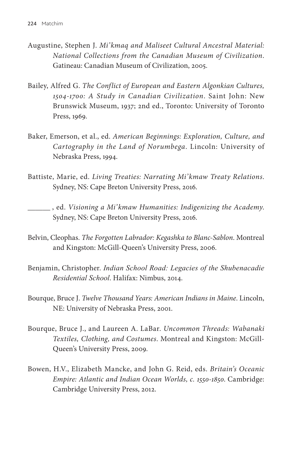- Augustine, Stephen J. *Mi'kmaq and Maliseet Cultural Ancestral Material: National Collections from the Canadian Museum of Civilization*. Gatineau: Canadian Museum of Civilization, 2005.
- Bailey, Alfred G. *The Conflict of European and Eastern Algonkian Cultures, 1504-1700: A Study in Canadian Civilization*. Saint John: New Brunswick Museum, 1937; 2nd ed., Toronto: University of Toronto Press, 1969.
- Baker, Emerson, et al., ed. *American Beginnings: Exploration, Culture, and Cartography in the Land of Norumbega*. Lincoln: University of Nebraska Press, 1994.
- Battiste, Marie, ed. *Living Treaties: Narrating Mi'kmaw Treaty Relations*. Sydney, NS: Cape Breton University Press, 2016.
	- , ed. *Visioning a Mi'kmaw Humanities: Indigenizing the Academy*. Sydney, NS: Cape Breton University Press, 2016.
- Belvin, Cleophas. *The Forgotten Labrador: Kegashka to Blanc-Sablon*. Montreal and Kingston: McGill-Queen's University Press, 2006.
- Benjamin, Christopher. *Indian School Road: Legacies of the Shubenacadie Residential School*. Halifax: Nimbus, 2014.
- Bourque, Bruce J. *Twelve Thousand Years: American Indians in Maine*. Lincoln, NE: University of Nebraska Press, 2001.
- Bourque, Bruce J., and Laureen A. LaBar. *Uncommon Threads: Wabanaki Textiles, Clothing, and Costumes*. Montreal and Kingston: McGill-Queen's University Press, 2009.
- Bowen, H.V., Elizabeth Mancke, and John G. Reid, eds. *Britain's Oceanic Empire: Atlantic and Indian Ocean Worlds, c. 1550-1850*. Cambridge: Cambridge University Press, 2012.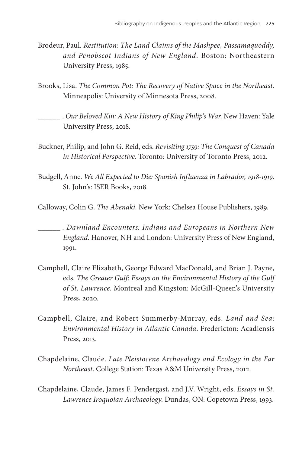- Brodeur, Paul. *Restitution: The Land Claims of the Mashpee, Passamaquoddy, and Penobscot Indians of New England*. Boston: Northeastern University Press, 1985.
- Brooks, Lisa. *The Common Pot: The Recovery of Native Space in the Northeast*. Minneapolis: University of Minnesota Press, 2008.
- . *Our Beloved Kin: A New History of King Philip's War*. New Haven: Yale University Press, 2018.
- Buckner, Philip, and John G. Reid, eds. *Revisiting 1759: The Conquest of Canada in Historical Perspective*. Toronto: University of Toronto Press, 2012.
- Budgell, Anne. *We All Expected to Die: Spanish Influenza in Labrador, 1918-1919*. St. John's: ISER Books, 2018.
- Calloway, Colin G. *The Abenaki*. New York: Chelsea House Publishers, 1989.
- . *Dawnland Encounters: Indians and Europeans in Northern New England*. Hanover, NH and London: University Press of New England, 1991.
- Campbell, Claire Elizabeth, George Edward MacDonald, and Brian J. Payne, eds. *The Greater Gulf: Essays on the Environmental History of the Gulf of St. Lawrence*. Montreal and Kingston: McGill-Queen's University Press, 2020.
- Campbell, Claire, and Robert Summerby-Murray, eds. *Land and Sea: Environmental History in Atlantic Canada*. Fredericton: Acadiensis Press, 2013.
- Chapdelaine, Claude. *Late Pleistocene Archaeology and Ecology in the Far Northeast*. College Station: Texas A&M University Press, 2012.
- Chapdelaine, Claude, James F. Pendergast, and J.V. Wright, eds. *Essays in St. Lawrence Iroquoian Archaeology*. Dundas, ON: Copetown Press, 1993.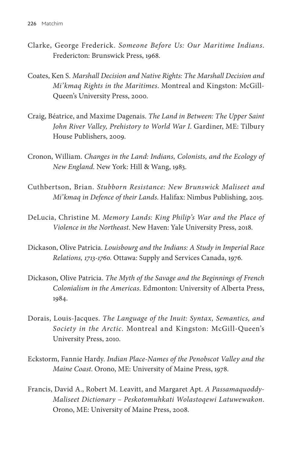- Clarke, George Frederick. *Someone Before Us: Our Maritime Indians*. Fredericton: Brunswick Press, 1968.
- Coates, Ken S. *Marshall Decision and Native Rights: The Marshall Decision and Mi'kmaq Rights in the Maritimes*. Montreal and Kingston: McGill-Queen's University Press, 2000.
- Craig, Béatrice, and Maxime Dagenais. *The Land in Between: The Upper Saint John River Valley, Prehistory to World War I*. Gardiner, ME: Tilbury House Publishers, 2009.
- Cronon, William. *Changes in the Land: Indians, Colonists, and the Ecology of New England*. New York: Hill & Wang, 1983.
- Cuthbertson, Brian. *Stubborn Resistance: New Brunswick Maliseet and Mi'kmaq in Defence of their Lands*. Halifax: Nimbus Publishing, 2015.
- DeLucia, Christine M. *Memory Lands: King Philip's War and the Place of Violence in the Northeast*. New Haven: Yale University Press, 2018.
- Dickason, Olive Patricia. *Louisbourg and the Indians: A Study in Imperial Race Relations, 1713-1760*. Ottawa: Supply and Services Canada, 1976.
- Dickason, Olive Patricia. *The Myth of the Savage and the Beginnings of French Colonialism in the Americas*. Edmonton: University of Alberta Press, 1984.
- Dorais, Louis-Jacques. *The Language of the Inuit: Syntax, Semantics, and Society in the Arctic*. Montreal and Kingston: McGill-Queen's University Press, 2010.
- Eckstorm, Fannie Hardy. *Indian Place-Names of the Penobscot Valley and the Maine Coast*. Orono, ME: University of Maine Press, 1978.
- Francis, David A., Robert M. Leavitt, and Margaret Apt. *A Passamaquoddy-Maliseet Dictionary – Peskotomuhkati Wolastoqewi Latuwewakon*. Orono, ME: University of Maine Press, 2008.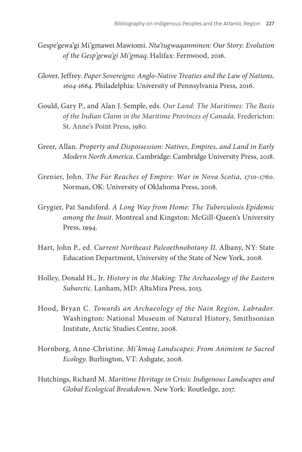- Gespe'gewa'gi Mi'gmawei Mawiomi. *Nta'tugwaqanminen: Our Story: Evolution of the Gesp'gewa'gi Mi'gmaq*. Halifax: Fernwood, 2016.
- Glover, Jeffrey. *Paper Sovereigns: Anglo-Native Treaties and the Law of Nations, 1604-1664*. Philadelphia: University of Pennsylvania Press, 2016.
- Gould, Gary P., and Alan J. Semple, eds. *Our Land: The Maritimes: The Basis of the Indian Claim in the Maritime Provinces of Canada*. Fredericton: St. Anne's Point Press, 1980.
- Greer, Allan. *Property and Dispossession: Natives, Empires, and Land in Early Modern North America*. Cambridge: Cambridge University Press, 2018.
- Grenier, John. *The Far Reaches of Empire: War in Nova Scotia, 1710-1760*. Norman, OK: University of Oklahoma Press, 2008.
- Grygier, Pat Sandiford. *A Long Way from Home: The Tuberculosis Epidemic among the Inuit*. Montreal and Kingston: McGill-Queen's University Press, 1994.
- Hart, John P., ed. *Current Northeast Paleoethnobotany II*. Albany, NY: State Education Department, University of the State of New York, 2008.
- Holley, Donald H., Jr. *History in the Making: The Archaeology of the Eastern Subarctic*. Lanham, MD: AltaMira Press, 2013.
- Hood, Bryan C. *Towards an Archaeology of the Nain Region, Labrador*. Washington: National Museum of Natural History, Smithsonian Institute, Arctic Studies Centre, 2008.
- Hornborg, Anne-Christine. *Mi'kmaq Landscapes: From Animism to Sacred Ecology*. Burlington, VT: Ashgate, 2008.
- Hutchings, Richard M. *Maritime Heritage in Crisis: Indigenous Landscapes and Global Ecological Breakdown*. New York: Routledge, 2017.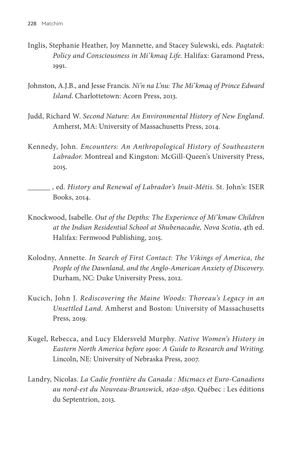- Inglis, Stephanie Heather, Joy Mannette, and Stacey Sulewski, eds. *Paqtatek: Policy and Consciousness in Mi'kmaq Life*. Halifax: Garamond Press, 1991.
- Johnston, A.J.B., and Jesse Francis. *Ni'n na L'nu: The Mi'kmaq of Prince Edward Island*. Charlottetown: Acorn Press, 2013.
- Judd, Richard W. *Second Nature: An Environmental History of New England*. Amherst, MA: University of Massachusetts Press, 2014.
- Kennedy, John. *Encounters: An Anthropological History of Southeastern Labrador*. Montreal and Kingston: McGill-Queen's University Press, 2015.
- , ed. *History and Renewal of Labrador's Inuit-Métis*. St. John's: ISER Books, 2014.
- Knockwood, Isabelle. *Out of the Depths: The Experience of Mi'kmaw Children at the Indian Residential School at Shubenacadie, Nova Scotia*, 4th ed. Halifax: Fernwood Publishing, 2015.
- Kolodny, Annette. *In Search of First Contact: The Vikings of America, the People of the Dawnland, and the Anglo-American Anxiety of Discovery*. Durham, NC: Duke University Press, 2012.
- Kucich, John J. *Rediscovering the Maine Woods: Thoreau's Legacy in an Unsettled Land*. Amherst and Boston: University of Massachusetts Press, 2019.
- Kugel, Rebecca, and Lucy Eldersveld Murphy. *Native Women's History in Eastern North America before 1900: A Guide to Research and Writing*. Lincoln, NE: University of Nebraska Press, 2007.
- Landry, Nicolas. *La Cadie frontière du Canada : Micmacs et Euro-Canadiens au nord-est du Nouveau-Brunswick, 1620-1850*. Québec : Les éditions du Septentrion, 2013.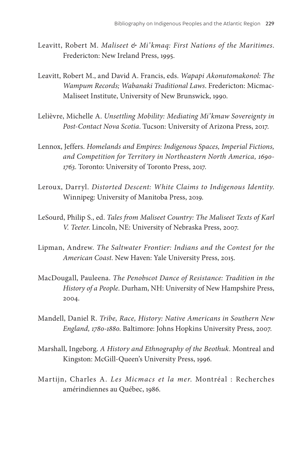- Leavitt, Robert M. *Maliseet & Mi'kmaq: First Nations of the Maritimes*. Fredericton: New Ireland Press, 1995.
- Leavitt, Robert M., and David A. Francis, eds. *Wapapi Akonutomakonol: The Wampum Records; Wabanaki Traditional Laws*. Fredericton: Micmac-Maliseet Institute, University of New Brunswick, 1990.
- Lelièvre, Michelle A. *Unsettling Mobility: Mediating Mi'kmaw Sovereignty in Post-Contact Nova Scotia*. Tucson: University of Arizona Press, 2017.
- Lennox, Jeffers. *Homelands and Empires: Indigenous Spaces, Imperial Fictions, and Competition for Territory in Northeastern North America, 1690- 1763*. Toronto: University of Toronto Press, 2017.
- Leroux, Darryl. *Distorted Descent: White Claims to Indigenous Identity*. Winnipeg: University of Manitoba Press, 2019.
- LeSourd, Philip S., ed. *Tales from Maliseet Country: The Maliseet Texts of Karl V. Teeter*. Lincoln, NE: University of Nebraska Press, 2007.
- Lipman, Andrew. *The Saltwater Frontier: Indians and the Contest for the American Coast*. New Haven: Yale University Press, 2015.
- MacDougall, Pauleena. *The Penobscot Dance of Resistance: Tradition in the History of a People*. Durham, NH: University of New Hampshire Press, 2004.
- Mandell, Daniel R. *Tribe, Race, History: Native Americans in Southern New England, 1780-1880*. Baltimore: Johns Hopkins University Press, 2007.
- Marshall, Ingeborg. *A History and Ethnography of the Beothuk*. Montreal and Kingston: McGill-Queen's University Press, 1996.
- Martijn, Charles A. *Les Micmacs et la mer*. Montréal : Recherches amérindiennes au Québec, 1986.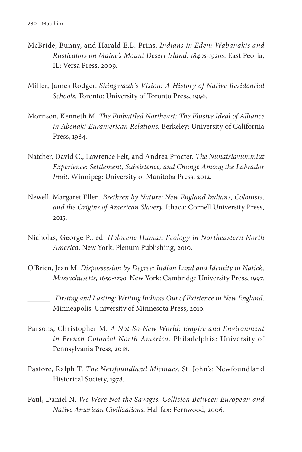- McBride, Bunny, and Harald E.L. Prins. *Indians in Eden: Wabanakis and Rusticators on Maine's Mount Desert Island, 1840s-1920s*. East Peoria, IL: Versa Press, 2009.
- Miller, James Rodger. *Shingwauk's Vision: A History of Native Residential Schools*. Toronto: University of Toronto Press, 1996.
- Morrison, Kenneth M. *The Embattled Northeast: The Elusive Ideal of Alliance in Abenaki-Euramerican Relations*. Berkeley: University of California Press, 1984.
- Natcher, David C., Lawrence Felt, and Andrea Procter. *The Nunatsiavummiut Experience: Settlement, Subsistence, and Change Among the Labrador Inuit*. Winnipeg: University of Manitoba Press, 2012.
- Newell, Margaret Ellen. *Brethren by Nature: New England Indians, Colonists, and the Origins of American Slavery*. Ithaca: Cornell University Press, 2015.
- Nicholas, George P., ed. *Holocene Human Ecology in Northeastern North America*. New York: Plenum Publishing, 2010.
- O'Brien, Jean M. *Dispossession by Degree: Indian Land and Identity in Natick, Massachusetts, 1650-1790*. New York: Cambridge University Press, 1997.

 . *Firsting and Lasting: Writing Indians Out of Existence in New England*. Minneapolis: University of Minnesota Press, 2010.

- Parsons, Christopher M. *A Not-So-New World: Empire and Environment in French Colonial North America*. Philadelphia: University of Pennsylvania Press, 2018.
- Pastore, Ralph T. *The Newfoundland Micmacs*. St. John's: Newfoundland Historical Society, 1978.
- Paul, Daniel N. *We Were Not the Savages: Collision Between European and Native American Civilizations*. Halifax: Fernwood, 2006.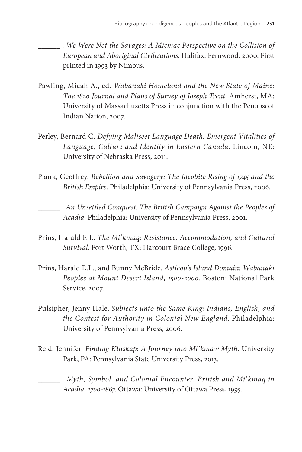. *We Were Not the Savages: A Micmac Perspective on the Collision of European and Aboriginal Civilizations*. Halifax: Fernwood, 2000. First printed in 1993 by Nimbus.

- Pawling, Micah A., ed. *Wabanaki Homeland and the New State of Maine: The 1820 Journal and Plans of Survey of Joseph Trent*. Amherst, MA: University of Massachusetts Press in conjunction with the Penobscot Indian Nation, 2007.
- Perley, Bernard C. *Defying Maliseet Language Death: Emergent Vitalities of Language, Culture and Identity in Eastern Canada*. Lincoln, NE: University of Nebraska Press, 2011.
- Plank, Geoffrey. *Rebellion and Savagery: The Jacobite Rising of 1745 and the British Empire*. Philadelphia: University of Pennsylvania Press, 2006.

 . *An Unsettled Conquest: The British Campaign Against the Peoples of Acadia*. Philadelphia: University of Pennsylvania Press, 2001.

- Prins, Harald E.L. *The Mi'kmaq: Resistance, Accommodation, and Cultural Survival*. Fort Worth, TX: Harcourt Brace College, 1996.
- Prins, Harald E.L., and Bunny McBride. *Asticou's Island Domain: Wabanaki Peoples at Mount Desert Island, 1500-2000*. Boston: National Park Service, 2007.
- Pulsipher, Jenny Hale. *Subjects unto the Same King: Indians, English, and the Contest for Authority in Colonial New England*. Philadelphia: University of Pennsylvania Press, 2006.
- Reid, Jennifer. *Finding Kluskap: A Journey into Mi'kmaw Myth*. University Park, PA: Pennsylvania State University Press, 2013.
- . *Myth, Symbol, and Colonial Encounter: British and Mi'kmaq in Acadia, 1700-1867*. Ottawa: University of Ottawa Press, 1995.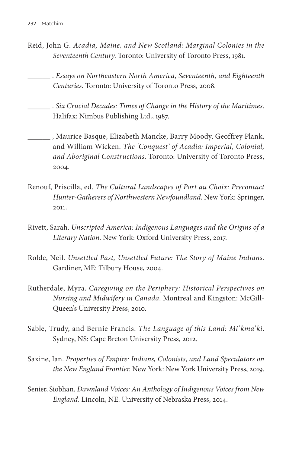- Reid, John G. *Acadia, Maine, and New Scotland: Marginal Colonies in the Seventeenth Century*. Toronto: University of Toronto Press, 1981.
	- . *Essays on Northeastern North America, Seventeenth, and Eighteenth Centuries*. Toronto: University of Toronto Press, 2008.
- . *Six Crucial Decades: Times of Change in the History of the Maritimes*. Halifax: Nimbus Publishing Ltd., 1987.
- , Maurice Basque, Elizabeth Mancke, Barry Moody, Geoffrey Plank, and William Wicken. *The 'Conquest' of Acadia: Imperial, Colonial, and Aboriginal Constructions*. Toronto: University of Toronto Press, 2004.
- Renouf, Priscilla, ed. *The Cultural Landscapes of Port au Choix: Precontact Hunter-Gatherers of Northwestern Newfoundland*. New York: Springer, 2011.
- Rivett, Sarah. *Unscripted America: Indigenous Languages and the Origins of a Literary Nation*. New York: Oxford University Press, 2017.
- Rolde, Neil. *Unsettled Past, Unsettled Future: The Story of Maine Indians*. Gardiner, ME: Tilbury House, 2004.
- Rutherdale, Myra. *Caregiving on the Periphery: Historical Perspectives on Nursing and Midwifery in Canada*. Montreal and Kingston: McGill-Queen's University Press, 2010.
- Sable, Trudy, and Bernie Francis. *The Language of this Land: Mi'kma'ki*. Sydney, NS: Cape Breton University Press, 2012.
- Saxine, Ian. *Properties of Empire: Indians, Colonists, and Land Speculators on the New England Frontier*. New York: New York University Press, 2019.
- Senier, Siobhan. *Dawnland Voices: An Anthology of Indigenous Voices from New England*. Lincoln, NE: University of Nebraska Press, 2014.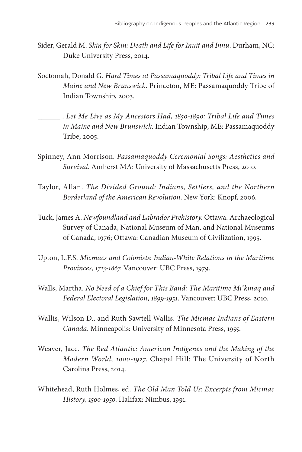- Sider, Gerald M. *Skin for Skin: Death and Life for Inuit and Innu*. Durham, NC: Duke University Press, 2014.
- Soctomah, Donald G. *Hard Times at Passamaquoddy: Tribal Life and Times in Maine and New Brunswick*. Princeton, ME: Passamaquoddy Tribe of Indian Township, 2003.
- . *Let Me Live as My Ancestors Had, 1850-1890: Tribal Life and Times in Maine and New Brunswick*. Indian Township, ME: Passamaquoddy Tribe, 2005.
- Spinney, Ann Morrison. *Passamaquoddy Ceremonial Songs: Aesthetics and Survival*. Amherst MA: University of Massachusetts Press, 2010.
- Taylor, Allan. *The Divided Ground: Indians, Settlers, and the Northern Borderland of the American Revolution*. New York: Knopf, 2006.
- Tuck, James A. *Newfoundland and Labrador Prehistory*. Ottawa: Archaeological Survey of Canada, National Museum of Man, and National Museums of Canada, 1976; Ottawa: Canadian Museum of Civilization, 1995.
- Upton, L.F.S. *Micmacs and Colonists: Indian-White Relations in the Maritime Provinces, 1713-1867*. Vancouver: UBC Press, 1979.
- Walls, Martha. *No Need of a Chief for This Band: The Maritime Mi'kmaq and Federal Electoral Legislation, 1899-1951*. Vancouver: UBC Press, 2010.
- Wallis, Wilson D., and Ruth Sawtell Wallis. *The Micmac Indians of Eastern Canada*. Minneapolis: University of Minnesota Press, 1955.
- Weaver, Jace. *The Red Atlantic: American Indigenes and the Making of the Modern World, 1000-1927*. Chapel Hill: The University of North Carolina Press, 2014.
- Whitehead, Ruth Holmes, ed. *The Old Man Told Us: Excerpts from Micmac History, 1500-1950*. Halifax: Nimbus, 1991.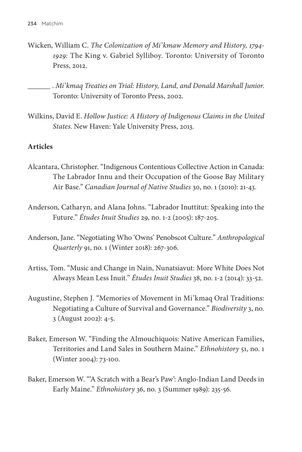Wicken, William C. *The Colonization of Mi'kmaw Memory and History, 1794- 1929:* The King v. Gabriel Sylliboy. Toronto: University of Toronto Press, 2012.

 . *Mi'kmaq Treaties on Trial: History, Land, and Donald Marshall Junior*. Toronto: University of Toronto Press, 2002.

Wilkins, David E. *Hollow Justice: A History of Indigenous Claims in the United States*. New Haven: Yale University Press, 2013.

# **Articles**

- Alcantara, Christopher. "Indigenous Contentious Collective Action in Canada: The Labrador Innu and their Occupation of the Goose Bay Military Air Base." *Canadian Journal of Native Studies* 30, no. 1 (2010): 21-43.
- Anderson, Catharyn, and Alana Johns. "Labrador Inuttitut: Speaking into the Future." *Études Inuit Studies* 29, no. 1-2 (2005): 187-205.
- Anderson, Jane. "Negotiating Who 'Owns' Penobscot Culture." *Anthropological Quarterly* 91, no. 1 (Winter 2018): 267-306.
- Artiss, Tom. "Music and Change in Nain, Nunatsiavut: More White Does Not Always Mean Less Inuit." *Études Inuit Studies* 38, no. 1-2 (2014): 33-52.
- Augustine, Stephen J. "Memories of Movement in Mi'kmaq Oral Traditions: Negotiating a Culture of Survival and Governance." *Biodiversity* 3, no. 3 (August 2002): 4-5.
- Baker, Emerson W. "Finding the Almouchiquois: Native American Families, Territories and Land Sales in Southern Maine." *Ethnohistory* 51, no. 1 (Winter 2004): 73-100.
- Baker, Emerson W. "'A Scratch with a Bear's Paw': Anglo-Indian Land Deeds in Early Maine." *Ethnohistory* 36, no. 3 (Summer 1989): 235-56.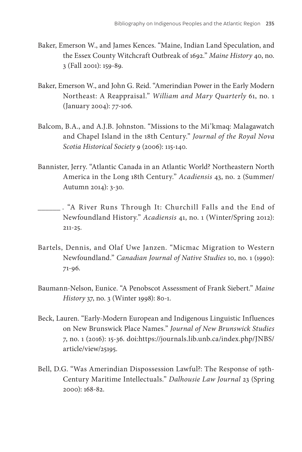- Baker, Emerson W., and James Kences. "Maine, Indian Land Speculation, and the Essex County Witchcraft Outbreak of 1692." *Maine History* 40, no. 3 (Fall 2001): 159-89.
- Baker, Emerson W., and John G. Reid. "Amerindian Power in the Early Modern Northeast: A Reappraisal." *William and Mary Quarterly* 61, no. 1 (January 2004): 77-106.
- Balcom, B.A., and A.J.B. Johnston. "Missions to the Mi'kmaq: Malagawatch and Chapel Island in the 18th Century." *Journal of the Royal Nova Scotia Historical Society* 9 (2006): 115-140.
- Bannister, Jerry. "Atlantic Canada in an Atlantic World? Northeastern North America in the Long 18th Century." *Acadiensis* 43, no. 2 (Summer/ Autumn 2014): 3-30.
- . "A River Runs Through It: Churchill Falls and the End of Newfoundland History." *Acadiensis* 41, no. 1 (Winter/Spring 2012): 211-25.
- Bartels, Dennis, and Olaf Uwe Janzen. "Micmac Migration to Western Newfoundland." *Canadian Journal of Native Studies* 10, no. 1 (1990): 71-96.
- Baumann-Nelson, Eunice. "A Penobscot Assessment of Frank Siebert." *Maine History* 37, no. 3 (Winter 1998): 80-1.
- Beck, Lauren. "Early-Modern European and Indigenous Linguistic Influences on New Brunswick Place Names." *Journal of New Brunswick Studies*  7, no. 1 (2016): 15-36. doi:https://journals.lib.unb.ca/index.php/JNBS/ article/view/25195.
- Bell, D.G. "Was Amerindian Dispossession Lawful?: The Response of 19th-Century Maritime Intellectuals." *Dalhousie Law Journal* 23 (Spring 2000): 168-82.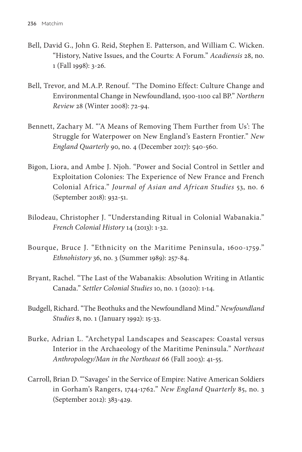- Bell, David G., John G. Reid, Stephen E. Patterson, and William C. Wicken. "History, Native Issues, and the Courts: A Forum." *Acadiensis* 28, no. 1 (Fall 1998): 3-26.
- Bell, Trevor, and M.A.P. Renouf. "The Domino Effect: Culture Change and Environmental Change in Newfoundland, 1500-1100 cal BP." *Northern Review* 28 (Winter 2008): 72-94.
- Bennett, Zachary M. "'A Means of Removing Them Further from Us': The Struggle for Waterpower on New England's Eastern Frontier." *New England Quarterly* 90, no. 4 (December 2017): 540-560.
- Bigon, Liora, and Ambe J. Njoh. "Power and Social Control in Settler and Exploitation Colonies: The Experience of New France and French Colonial Africa." *Journal of Asian and African Studies* 53, no. 6 (September 2018): 932-51.
- Bilodeau, Christopher J. "Understanding Ritual in Colonial Wabanakia." *French Colonial History* 14 (2013): 1-32.
- Bourque, Bruce J. "Ethnicity on the Maritime Peninsula, 1600-1759." *Ethnohistory* 36, no. 3 (Summer 1989): 257-84.
- Bryant, Rachel. "The Last of the Wabanakis: Absolution Writing in Atlantic Canada." *Settler Colonial Studies* 10, no. 1 (2020): 1-14.
- Budgell, Richard. "The Beothuks and the Newfoundland Mind." *Newfoundland Studies* 8, no. 1 (January 1992): 15-33.
- Burke, Adrian L. "Archetypal Landscapes and Seascapes: Coastal versus Interior in the Archaeology of the Maritime Peninsula." *Northeast Anthropology/Man in the Northeast* 66 (Fall 2003): 41-55.
- Carroll, Brian D. "'Savages' in the Service of Empire: Native American Soldiers in Gorham's Rangers, 1744-1762." *New England Quarterly* 85, no. 3 (September 2012): 383-429.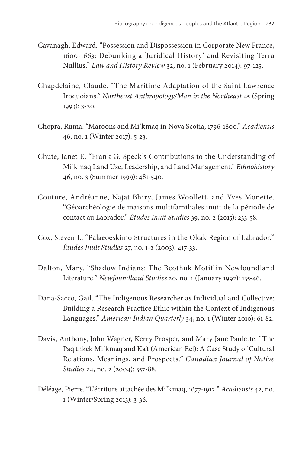- Cavanagh, Edward. "Possession and Dispossession in Corporate New France, 1600-1663: Debunking a 'Juridical History' and Revisiting Terra Nullius." *Law and History Review* 32, no. 1 (February 2014): 97-125.
- Chapdelaine, Claude. "The Maritime Adaptation of the Saint Lawrence Iroquoians." *Northeast Anthropology/Man in the Northeast* 45 (Spring 1993): 3-20.
- Chopra, Ruma. "Maroons and Mi'kmaq in Nova Scotia, 1796-1800." *Acadiensis*  46, no. 1 (Winter 2017): 5-23.
- Chute, Janet E. "Frank G. Speck's Contributions to the Understanding of Mi'kmaq Land Use, Leadership, and Land Management." *Ethnohistory*  46, no. 3 (Summer 1999): 481-540.
- Couture, Andréanne, Najat Bhiry, James Woollett, and Yves Monette. "Géoarchéologie de maisons multifamiliales inuit de la période de contact au Labrador." *Études Inuit Studies* 39, no. 2 (2015): 233-58.
- Cox, Steven L. "Palaeoeskimo Structures in the Okak Region of Labrador." *Études Inuit Studies* 27, no. 1-2 (2003): 417-33.
- Dalton, Mary. "Shadow Indians: The Beothuk Motif in Newfoundland Literature." *Newfoundland Studies* 20, no. 1 (January 1992): 135-46.
- Dana-Sacco, Gail. "The Indigenous Researcher as Individual and Collective: Building a Research Practice Ethic within the Context of Indigenous Languages." *American Indian Quarterly* 34, no. 1 (Winter 2010): 61-82.
- Davis, Anthony, John Wagner, Kerry Prosper, and Mary Jane Paulette. "The Paq'tnkek Mi'kmaq and Ka't (American Eel): A Case Study of Cultural Relations, Meanings, and Prospects." *Canadian Journal of Native Studies* 24, no. 2 (2004): 357-88.
- Déléage, Pierre. "L'écriture attachée des Mi'kmaq, 1677-1912." *Acadiensis* 42, no. 1 (Winter/Spring 2013): 3-36.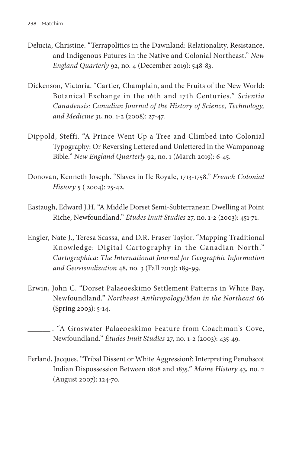- Delucia, Christine. "Terrapolitics in the Dawnland: Relationality, Resistance, and Indigenous Futures in the Native and Colonial Northeast." *New England Quarterly* 92, no. 4 (December 2019): 548-83.
- Dickenson, Victoria. "Cartier, Champlain, and the Fruits of the New World: Botanical Exchange in the 16th and 17th Centuries." *Scientia Canadensis: Canadian Journal of the History of Science, Technology, and Medicine* 31, no. 1-2 (2008): 27-47.
- Dippold, Steffi. "A Prince Went Up a Tree and Climbed into Colonial Typography: Or Reversing Lettered and Unlettered in the Wampanoag Bible." *New England Quarterly* 92, no. 1 (March 2019): 6-45.
- Donovan, Kenneth Joseph. "Slaves in Ile Royale, 1713-1758." *French Colonial History* 5 ( 2004): 25-42.
- Eastaugh, Edward J.H. "A Middle Dorset Semi-Subterranean Dwelling at Point Riche, Newfoundland." *Études Inuit Studies* 27, no. 1-2 (2003): 451-71.
- Engler, Nate J., Teresa Scassa, and D.R. Fraser Taylor. "Mapping Traditional Knowledge: Digital Cartography in the Canadian North." *Cartographica: The International Journal for Geographic Information and Geovisualization* 48, no. 3 (Fall 2013): 189-99.
- Erwin, John C. "Dorset Palaeoeskimo Settlement Patterns in White Bay, Newfoundland." *Northeast Anthropology/Man in the Northeast* 66 (Spring 2003): 5-14.

 . "A Groswater Palaeoeskimo Feature from Coachman's Cove, Newfoundland." *Études Inuit Studies* 27, no. 1-2 (2003): 435-49.

Ferland, Jacques. "Tribal Dissent or White Aggression?: Interpreting Penobscot Indian Dispossession Between 1808 and 1835." *Maine History* 43, no. 2 (August 2007): 124-70.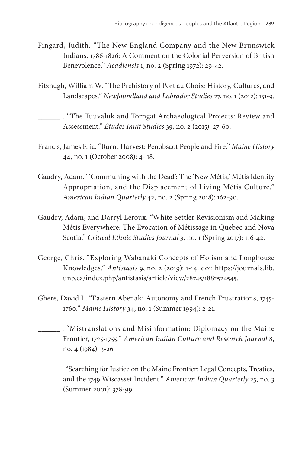- Fingard, Judith. "The New England Company and the New Brunswick Indians, 1786-1826: A Comment on the Colonial Perversion of British Benevolence." *Acadiensis* 1, no. 2 (Spring 1972): 29-42.
- Fitzhugh, William W. "The Prehistory of Port au Choix: History, Cultures, and Landscapes." *Newfoundland and Labrador Studies* 27, no. 1 (2012): 131-9.

 . "The Tuuvaluk and Torngat Archaeological Projects: Review and Assessment." *Études Inuit Studies* 39, no. 2 (2015): 27-60.

- Francis, James Eric. "Burnt Harvest: Penobscot People and Fire." *Maine History*  44, no. 1 (October 2008): 4- 18.
- Gaudry, Adam. "'Communing with the Dead': The 'New Métis,' Métis Identity Appropriation, and the Displacement of Living Métis Culture." *American Indian Quarterly* 42, no. 2 (Spring 2018): 162-90.
- Gaudry, Adam, and Darryl Leroux. "White Settler Revisionism and Making Métis Everywhere: The Evocation of Métissage in Quebec and Nova Scotia." *Critical Ethnic Studies Journal* 3, no. 1 (Spring 2017): 116-42.
- George, Chris. "Exploring Wabanaki Concepts of Holism and Longhouse Knowledges." *Antistasis* 9, no. 2 (2019): 1-14. doi: https://journals.lib. unb.ca/index.php/antistasis/article/view/28745/1882524545.
- Ghere, David L. "Eastern Abenaki Autonomy and French Frustrations, 1745- 1760." *Maine History* 34, no. 1 (Summer 1994): 2-21.
- . "Mistranslations and Misinformation: Diplomacy on the Maine Frontier, 1725-1755." *American Indian Culture and Research Journal* 8, no. 4 (1984): 3-26.

. "Searching for Justice on the Maine Frontier: Legal Concepts, Treaties, and the 1749 Wiscasset Incident." *American Indian Quarterly* 25, no. 3 (Summer 2001): 378-99.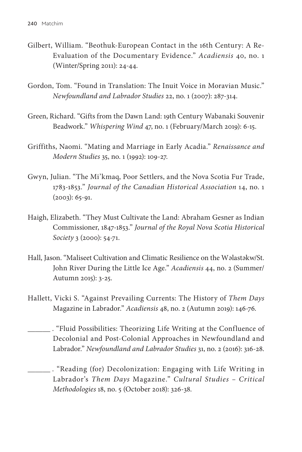- Gilbert, William. "Beothuk-European Contact in the 16th Century: A Re-Evaluation of the Documentary Evidence." *Acadiensis* 40, no. 1 (Winter/Spring 2011): 24-44.
- Gordon, Tom. "Found in Translation: The Inuit Voice in Moravian Music." *Newfoundland and Labrador Studies* 22, no. 1 (2007): 287-314.
- Green, Richard. "Gifts from the Dawn Land: 19th Century Wabanaki Souvenir Beadwork." *Whispering Wind* 47, no. 1 (February/March 2019): 6-15.
- Griffiths, Naomi. "Mating and Marriage in Early Acadia." *Renaissance and Modern Studies* 35, no. 1 (1992): 109-27.
- Gwyn, Julian. "The Mi'kmaq, Poor Settlers, and the Nova Scotia Fur Trade, 1783-1853." *Journal of the Canadian Historical Association* 14, no. 1  $(2003): 65-91.$
- Haigh, Elizabeth. "They Must Cultivate the Land: Abraham Gesner as Indian Commissioner, 1847-1853." *Journal of the Royal Nova Scotia Historical Society* 3 (2000): 54-71.
- Hall, Jason. "Maliseet Cultivation and Climatic Resilience on the Wəlastəkw/St. John River During the Little Ice Age." *Acadiensis* 44, no. 2 (Summer/ Autumn 2015): 3-25.
- Hallett, Vicki S. "Against Prevailing Currents: The History of *Them Days*  Magazine in Labrador." *Acadiensis* 48, no. 2 (Autumn 2019): 146-76.
- . "Fluid Possibilities: Theorizing Life Writing at the Confluence of Decolonial and Post-Colonial Approaches in Newfoundland and Labrador." *Newfoundland and Labrador Studies* 31, no. 2 (2016): 316-28.
	- . "Reading (for) Decolonization: Engaging with Life Writing in Labrador's *Them Days* Magazine." *Cultural Studies – Critical Methodologies* 18, no. 5 (October 2018): 326-38.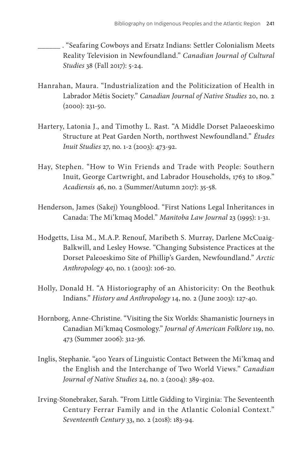. "Seafaring Cowboys and Ersatz Indians: Settler Colonialism Meets Reality Television in Newfoundland." *Canadian Journal of Cultural Studies* 38 (Fall 2017): 5-24.

- Hanrahan, Maura. "Industrialization and the Politicization of Health in Labrador Métis Society." *Canadian Journal of Native Studies* 20, no. 2 (2000): 231-50.
- Hartery, Latonia J., and Timothy L. Rast. "A Middle Dorset Palaeoeskimo Structure at Peat Garden North, northwest Newfoundland." *Études Inuit Studies* 27, no. 1-2 (2003): 473-92.
- Hay, Stephen. "How to Win Friends and Trade with People: Southern Inuit, George Cartwright, and Labrador Households, 1763 to 1809." *Acadiensis* 46, no. 2 (Summer/Autumn 2017): 35-58.
- Henderson, James (Sakej) Youngblood. "First Nations Legal Inheritances in Canada: The Mi'kmaq Model." *Manitoba Law Journal* 23 (1995): 1-31.
- Hodgetts, Lisa M., M.A.P. Renouf, Maribeth S. Murray, Darlene McCuaig-Balkwill, and Lesley Howse. "Changing Subsistence Practices at the Dorset Paleoeskimo Site of Phillip's Garden, Newfoundland." *Arctic Anthropology* 40, no. 1 (2003): 106-20.
- Holly, Donald H. "A Historiography of an Ahistoricity: On the Beothuk Indians." *History and Anthropology* 14, no. 2 (June 2003): 127-40.
- Hornborg, Anne-Christine. "Visiting the Six Worlds: Shamanistic Journeys in Canadian Mi'kmaq Cosmology." *Journal of American Folklore* 119, no. 473 (Summer 2006): 312-36.
- Inglis, Stephanie. "400 Years of Linguistic Contact Between the Mi'kmaq and the English and the Interchange of Two World Views." *Canadian Journal of Native Studies* 24, no. 2 (2004): 389-402.
- Irving-Stonebraker, Sarah. "From Little Gidding to Virginia: The Seventeenth Century Ferrar Family and in the Atlantic Colonial Context." *Seventeenth Century* 33, no. 2 (2018): 183-94.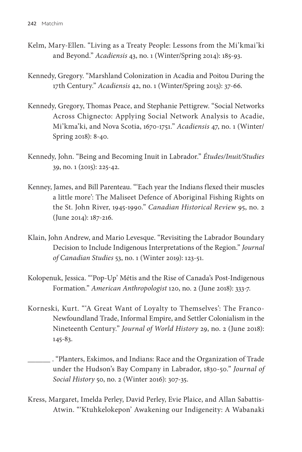- Kelm, Mary-Ellen. "Living as a Treaty People: Lessons from the Mi'kmai'ki and Beyond." *Acadiensis* 43, no. 1 (Winter/Spring 2014): 185-93.
- Kennedy, Gregory. "Marshland Colonization in Acadia and Poitou During the 17th Century." *Acadiensis* 42, no. 1 (Winter/Spring 2013): 37-66.
- Kennedy, Gregory, Thomas Peace, and Stephanie Pettigrew. "Social Networks Across Chignecto: Applying Social Network Analysis to Acadie, Mi'kma'ki, and Nova Scotia, 1670-1751." *Acadiensis* 47, no. 1 (Winter/ Spring 2018): 8-40.
- Kennedy, John. "Being and Becoming Inuit in Labrador." *Études/Inuit/Studies* 39, no. 1 (2015): 225-42.
- Kenney, James, and Bill Parenteau. "'Each year the Indians flexed their muscles a little more': The Maliseet Defence of Aboriginal Fishing Rights on the St. John River, 1945-1990." *Canadian Historical Review* 95, no. 2 (June 2014): 187-216.
- Klain, John Andrew, and Mario Levesque. "Revisiting the Labrador Boundary Decision to Include Indigenous Interpretations of the Region." *Journal of Canadian Studies* 53, no. 1 (Winter 2019): 123-51.
- Kolopenuk, Jessica. "'Pop-Up' Métis and the Rise of Canada's Post-Indigenous Formation." *American Anthropologist* 120, no. 2 (June 2018): 333-7.
- Korneski, Kurt. "'A Great Want of Loyalty to Themselves': The Franco-Newfoundland Trade, Informal Empire, and Settler Colonialism in the Nineteenth Century." *Journal of World History* 29, no. 2 (June 2018): 145-83.
	- . "Planters, Eskimos, and Indians: Race and the Organization of Trade under the Hudson's Bay Company in Labrador, 1830-50." *Journal of Social History* 50, no. 2 (Winter 2016): 307-35.
- Kress, Margaret, Imelda Perley, David Perley, Evie Plaice, and Allan Sabattis-Atwin. "'Ktuhkelokepon' Awakening our Indigeneity: A Wabanaki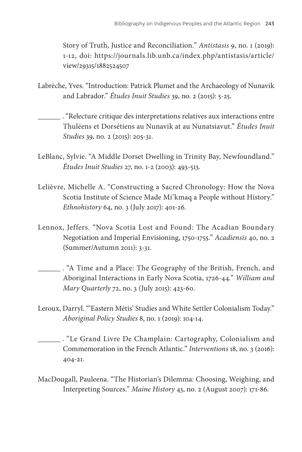Story of Truth, Justice and Reconciliation." *Antistasis* 9, no. 1 (2019): 1-12, doi: https://journals.lib.unb.ca/index.php/antistasis/article/ view/29315/1882524507

- Labrèche, Yves. "Introduction: Patrick Plumet and the Archaeology of Nunavik and Labrador." *Études Inuit Studies* 39, no. 2 (2015): 5-25.
- . "Relecture critique des interpretations relatives aux interactions entre Thuléens et Dorsétiens au Nunavik at au Nunatsiavut." *Études Inuit Studies* 39, no. 2 (2015): 205-31.
- LeBlanc, Sylvie. "A Middle Dorset Dwelling in Trinity Bay, Newfoundland." *Études Inuit Studies* 27, no. 1-2 (2003): 493-513.
- Lelièvre, Michelle A. "Constructing a Sacred Chronology: How the Nova Scotia Institute of Science Made Mi'kmaq a People without History." *Ethnohistory* 64, no. 3 (July 2017): 401-26.
- Lennox, Jeffers. "Nova Scotia Lost and Found: The Acadian Boundary Negotiation and Imperial Envisioning, 1750-1755." *Acadiensis* 40, no. 2 (Summer/Autumn 2011): 3-31.
	- . "A Time and a Place: The Geography of the British, French, and Aboriginal Interactions in Early Nova Scotia, 1726-44." *William and Mary Quarterly* 72, no. 3 (July 2015): 423-60.
- Leroux, Darryl. "'Eastern Métis' Studies and White Settler Colonialism Today." *Aboriginal Policy Studies* 8, no. 1 (2019): 104-14.
- . "Le Grand Livre De Champlain: Cartography, Colonialism and Commemoration in the French Atlantic." *Interventions* 18, no. 3 (2016): 404-21.
- MacDougall, Pauleena. "The Historian's Dilemma: Choosing, Weighing, and Interpreting Sources." *Maine History* 43, no. 2 (August 2007): 171-86.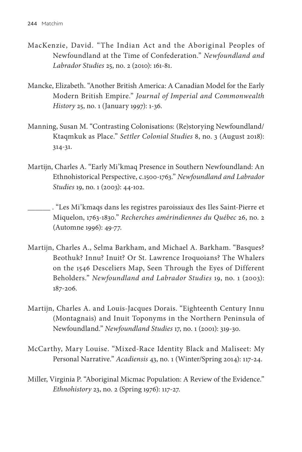- MacKenzie, David. "The Indian Act and the Aboriginal Peoples of Newfoundland at the Time of Confederation." *Newfoundland and Labrador Studies* 25, no. 2 (2010): 161-81.
- Mancke, Elizabeth. "Another British America: A Canadian Model for the Early Modern British Empire." *Journal of Imperial and Commonwealth History* 25, no. 1 (January 1997): 1-36.
- Manning, Susan M. "Contrasting Colonisations: (Re)storying Newfoundland/ Ktaqmkuk as Place." *Settler Colonial Studies* 8, no. 3 (August 2018): 314-31.
- Martijn, Charles A. "Early Mi'kmaq Presence in Southern Newfoundland: An Ethnohistorical Perspective, c.1500-1763." *Newfoundland and Labrador Studies* 19, no. 1 (2003): 44-102.
	- . "Les Mi'kmaqs dans les registres paroissiaux des Iles Saint-Pierre et Miquelon, 1763-1830." *Recherches amérindiennes du Québec* 26, no. 2 (Automne 1996): 49-77.
- Martijn, Charles A., Selma Barkham, and Michael A. Barkham. "Basques? Beothuk? Innu? Inuit? Or St. Lawrence Iroquoians? The Whalers on the 1546 Desceliers Map, Seen Through the Eyes of Different Beholders." *Newfoundland and Labrador Studies* 19, no. 1 (2003): 187-206.
- Martijn, Charles A. and Louis-Jacques Dorais. "Eighteenth Century Innu (Montagnais) and Inuit Toponyms in the Northern Peninsula of Newfoundland." *Newfoundland Studies* 17, no. 1 (2001): 319-30.
- McCarthy, Mary Louise. "Mixed-Race Identity Black and Maliseet: My Personal Narrative." *Acadiensis* 43, no. 1 (Winter/Spring 2014): 117-24.
- Miller, Virginia P. "Aboriginal Micmac Population: A Review of the Evidence." *Ethnohistory* 23, no. 2 (Spring 1976): 117-27.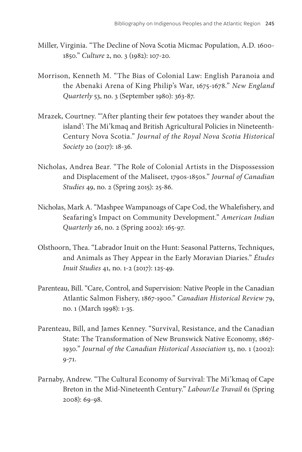- Miller, Virginia. "The Decline of Nova Scotia Micmac Population, A.D. 1600- 1850." *Culture* 2, no. 3 (1982): 107-20.
- Morrison, Kenneth M. "The Bias of Colonial Law: English Paranoia and the Abenaki Arena of King Philip's War, 1675-1678." *New England Quarterly* 53, no. 3 (September 1980): 363-87.
- Mrazek, Courtney. "'After planting their few potatoes they wander about the island': The Mi'kmaq and British Agricultural Policies in Nineteenth-Century Nova Scotia." *Journal of the Royal Nova Scotia Historical Society* 20 (2017): 18-36.
- Nicholas, Andrea Bear. "The Role of Colonial Artists in the Dispossession and Displacement of the Maliseet, 1790s-1850s." *Journal of Canadian Studies* 49, no. 2 (Spring 2015): 25-86.
- Nicholas, Mark A. "Mashpee Wampanoags of Cape Cod, the Whalefishery, and Seafaring's Impact on Community Development." *American Indian Quarterly* 26, no. 2 (Spring 2002): 165-97.
- Olsthoorn, Thea. "Labrador Inuit on the Hunt: Seasonal Patterns, Techniques, and Animals as They Appear in the Early Moravian Diaries." *Études Inuit Studies* 41, no. 1-2 (2017): 125-49.
- Parenteau, Bill. "Care, Control, and Supervision: Native People in the Canadian Atlantic Salmon Fishery, 1867-1900." *Canadian Historical Review* 79, no. 1 (March 1998): 1-35.
- Parenteau, Bill, and James Kenney. "Survival, Resistance, and the Canadian State: The Transformation of New Brunswick Native Economy, 1867- 1930." *Journal of the Canadian Historical Association* 13, no. 1 (2002): 9-71.
- Parnaby, Andrew. "The Cultural Economy of Survival: The Mi'kmaq of Cape Breton in the Mid-Nineteenth Century." *Labour/Le Travail* 61 (Spring 2008): 69-98.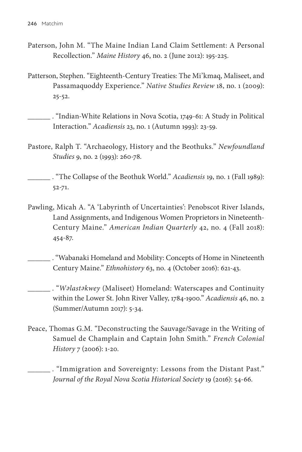- Paterson, John M. "The Maine Indian Land Claim Settlement: A Personal Recollection." *Maine History* 46, no. 2 (June 2012): 195-225.
- Patterson, Stephen. "Eighteenth-Century Treaties: The Mi'kmaq, Maliseet, and Passamaquoddy Experience." *Native Studies Review* 18, no. 1 (2009): 25-52.

 . "Indian-White Relations in Nova Scotia, 1749-61: A Study in Political Interaction." *Acadiensis* 23, no. 1 (Autumn 1993): 23-59.

Pastore, Ralph T. "Archaeology, History and the Beothuks." *Newfoundland Studies* 9, no. 2 (1993): 260-78.

 . "The Collapse of the Beothuk World." *Acadiensis* 19, no. 1 (Fall 1989): 52-71.

Pawling, Micah A. "A 'Labyrinth of Uncertainties': Penobscot River Islands, Land Assignments, and Indigenous Women Proprietors in Nineteenth-Century Maine." *American Indian Quarterly* 42, no. 4 (Fall 2018): 454-87.

 . "Wabanaki Homeland and Mobility: Concepts of Home in Nineteenth Century Maine." *Ethnohistory* 63, no. 4 (October 2016): 621-43.

 . "*W <sup>e</sup> last <sup>e</sup> kwey* (Maliseet) Homeland: Waterscapes and Continuity within the Lower St. John River Valley, 1784-1900." *Acadiensis* 46, no. 2 (Summer/Autumn 2017): 5-34.

Peace, Thomas G.M. "Deconstructing the Sauvage/Savage in the Writing of Samuel de Champlain and Captain John Smith." *French Colonial History* 7 (2006): 1-20.

 . "Immigration and Sovereignty: Lessons from the Distant Past." *Journal of the Royal Nova Scotia Historical Society* 19 (2016): 54-66.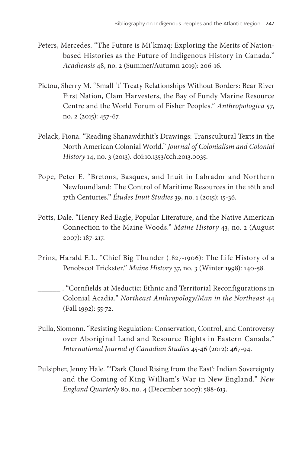- Peters, Mercedes. "The Future is Mi'kmaq: Exploring the Merits of Nationbased Histories as the Future of Indigenous History in Canada." *Acadiensis* 48, no. 2 (Summer/Autumn 2019): 206-16.
- Pictou, Sherry M. "Small 't' Treaty Relationships Without Borders: Bear River First Nation, Clam Harvesters, the Bay of Fundy Marine Resource Centre and the World Forum of Fisher Peoples." *Anthropologica* 57, no. 2 (2015): 457-67.
- Polack, Fiona. "Reading Shanawdithit's Drawings: Transcultural Texts in the North American Colonial World." *Journal of Colonialism and Colonial History* 14, no. 3 (2013). doi:10.1353/cch.2013.0035.
- Pope, Peter E. "Bretons, Basques, and Inuit in Labrador and Northern Newfoundland: The Control of Maritime Resources in the 16th and 17th Centuries." *Études Inuit Studies* 39, no. 1 (2015): 15-36.
- Potts, Dale. "Henry Red Eagle, Popular Literature, and the Native American Connection to the Maine Woods." *Maine History* 43, no. 2 (August 2007): 187-217.
- Prins, Harald E.L. "Chief Big Thunder (1827-1906): The Life History of a Penobscot Trickster." *Maine History* 37, no. 3 (Winter 1998): 140-58.

 . "Cornfields at Meductic: Ethnic and Territorial Reconfigurations in Colonial Acadia." *Northeast Anthropology/Man in the Northeast* 44 (Fall 1992): 55-72.

- Pulla, Siomonn. "Resisting Regulation: Conservation, Control, and Controversy over Aboriginal Land and Resource Rights in Eastern Canada." *International Journal of Canadian Studies* 45-46 (2012): 467-94.
- Pulsipher, Jenny Hale. "'Dark Cloud Rising from the East': Indian Sovereignty and the Coming of King William's War in New England." *New England Quarterly* 80, no. 4 (December 2007): 588-613.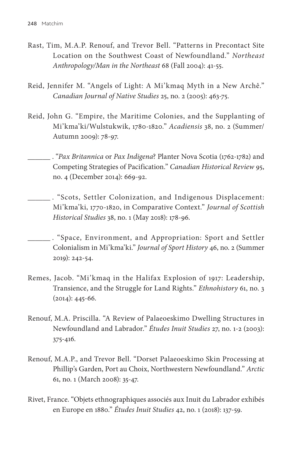- Rast, Tim, M.A.P. Renouf, and Trevor Bell. "Patterns in Precontact Site Location on the Southwest Coast of Newfoundland." *Northeast Anthropology/Man in the Northeast* 68 (Fall 2004): 41-55.
- Reid, Jennifer M. "Angels of Light: A Mi'kmaq Myth in a New Archê." *Canadian Journal of Native Studies* 25, no. 2 (2005): 463-75.
- Reid, John G. "Empire, the Maritime Colonies, and the Supplanting of Mi'kma'ki/Wulstukwik, 1780-1820." *Acadiensis* 38, no. 2 (Summer/ Autumn 2009): 78-97.
	- . "*Pax Britannica* or *Pax Indigena*? Planter Nova Scotia (1762-1782) and Competing Strategies of Pacification." *Canadian Historical Review* 95, no. 4 (December 2014): 669-92.
- . "Scots, Settler Colonization, and Indigenous Displacement: Mi'kma'ki, 1770-1820, in Comparative Context." *Journal of Scottish Historical Studies* 38, no. 1 (May 2018): 178-96.
- . "Space, Environment, and Appropriation: Sport and Settler Colonialism in Mi'kma'ki." *Journal of Sport History* 46, no. 2 (Summer 2019): 242-54.
- Remes, Jacob. "Mi'kmaq in the Halifax Explosion of 1917: Leadership, Transience, and the Struggle for Land Rights." *Ethnohistory* 61, no. 3  $(2014): 445-66.$
- Renouf, M.A. Priscilla. "A Review of Palaeoeskimo Dwelling Structures in Newfoundland and Labrador." *Études Inuit Studies* 27, no. 1-2 (2003): 375-416.
- Renouf, M.A.P., and Trevor Bell. "Dorset Palaeoeskimo Skin Processing at Phillip's Garden, Port au Choix, Northwestern Newfoundland." *Arctic*  61, no. 1 (March 2008): 35-47.
- Rivet, France. "Objets ethnographiques associés aux Inuit du Labrador exhibés en Europe en 1880." *Études Inuit Studies* 42, no. 1 (2018): 137-59.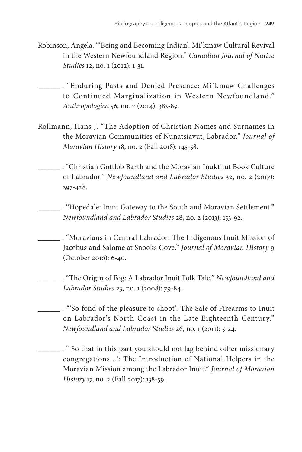- Robinson, Angela. "'Being and Becoming Indian': Mi'kmaw Cultural Revival in the Western Newfoundland Region." *Canadian Journal of Native Studies* 12, no. 1 (2012): 1-31.
- . "Enduring Pasts and Denied Presence: Mi'kmaw Challenges to Continued Marginalization in Western Newfoundland." *Anthropologica* 56, no. 2 (2014): 383-89.
- Rollmann, Hans J. "The Adoption of Christian Names and Surnames in the Moravian Communities of Nunatsiavut, Labrador." *Journal of Moravian History* 18, no. 2 (Fall 2018): 145-58.
	- . "Christian Gottlob Barth and the Moravian Inuktitut Book Culture of Labrador." *Newfoundland and Labrador Studies* 32, no. 2 (2017): 397-428.
		- . "Hopedale: Inuit Gateway to the South and Moravian Settlement." *Newfoundland and Labrador Studies* 28, no. 2 (2013): 153-92.
		- . "Moravians in Central Labrador: The Indigenous Inuit Mission of Jacobus and Salome at Snooks Cove." *Journal of Moravian History* 9 (October 2010): 6-40.
			- . "The Origin of Fog: A Labrador Inuit Folk Tale." *Newfoundland and Labrador Studies* 23, no. 1 (2008): 79-84.
	- . "'So fond of the pleasure to shoot': The Sale of Firearms to Inuit on Labrador's North Coast in the Late Eighteenth Century." *Newfoundland and Labrador Studies* 26, no. 1 (2011): 5-24.
	- . "'So that in this part you should not lag behind other missionary congregations…': The Introduction of National Helpers in the Moravian Mission among the Labrador Inuit." *Journal of Moravian History* 17, no. 2 (Fall 2017): 138-59.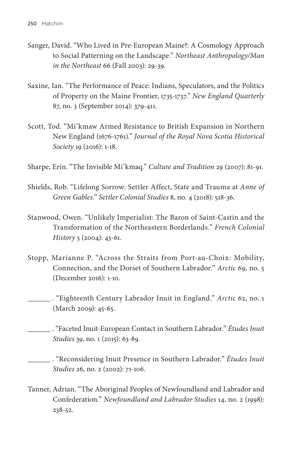- Sanger, David. "Who Lived in Pre-European Maine?: A Cosmology Approach to Social Patterning on the Landscape." *Northeast Anthropology/Man in the Northeast* 66 (Fall 2003): 29-39.
- Saxine, Ian. "The Performance of Peace: Indians, Speculators, and the Politics of Property on the Maine Frontier, 1735-1737." *New England Quarterly*  87, no. 3 (September 2014): 379-411.
- Scott, Tod. "Mi'kmaw Armed Resistance to British Expansion in Northern New England (1676-1761)." *Journal of the Royal Nova Scotia Historical Society* 19 (2016): 1-18.
- Sharpe, Erin. "The Invisible Mi'kmaq." *Culture and Tradition* 29 (2007): 81-91.
- Shields, Rob. "Lifelong Sorrow: Settler Affect, State and Trauma at *Anne of Green Gables*." *Settler Colonial Studies* 8, no. 4 (2018): 518-36.
- Stanwood, Owen. "Unlikely Imperialist: The Baron of Saint-Castin and the Transformation of the Northeastern Borderlands." *French Colonial History* 5 (2004): 43-61.
- Stopp, Marianne P. "Across the Straits from Port-au-Choix: Mobility, Connection, and the Dorset of Southern Labrador." *Arctic* 69, no. 5 (December 2016): 1-10.

 . "Eighteenth Century Labrador Inuit in England." *Arctic* 62, no. 1 (March 2009): 45-65.

- . "Faceted Inuit-European Contact in Southern Labrador." *Études Inuit Studies* 39, no. 1 (2015): 63-89.
- . "Reconsidering Inuit Presence in Southern Labrador." *Études Inuit Studies* 26, no. 2 (2002): 71-106.
- Tanner, Adrian. "The Aboriginal Peoples of Newfoundland and Labrador and Confederation." *Newfoundland and Labrador Studies* 14, no. 2 (1998): 238-52.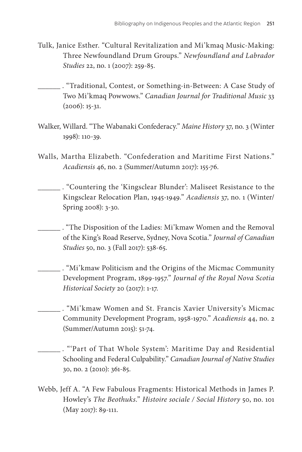- Tulk, Janice Esther. "Cultural Revitalization and Mi'kmaq Music-Making: Three Newfoundland Drum Groups." *Newfoundland and Labrador Studies* 22, no. 1 (2007): 259-85.
- . "Traditional, Contest, or Something-in-Between: A Case Study of Two Mi'kmaq Powwows." *Canadian Journal for Traditional Music* 33 (2006): 15-31.
- Walker, Willard. "The Wabanaki Confederacy." *Maine History* 37, no. 3 (Winter 1998): 110-39.
- Walls, Martha Elizabeth. "Confederation and Maritime First Nations." *Acadiensis* 46, no. 2 (Summer/Autumn 2017): 155-76.
	- . "Countering the 'Kingsclear Blunder': Maliseet Resistance to the Kingsclear Relocation Plan, 1945-1949." *Acadiensis* 37, no. 1 (Winter/ Spring 2008): 3-30.
	- . "The Disposition of the Ladies: Mi'kmaw Women and the Removal of the King's Road Reserve, Sydney, Nova Scotia." *Journal of Canadian Studies* 50, no. 3 (Fall 2017): 538-65.
	- . "Mi'kmaw Politicism and the Origins of the Micmac Community Development Program, 1899-1957." *Journal of the Royal Nova Scotia Historical Society* 20 (2017): 1-17.
		- . "Mi'kmaw Women and St. Francis Xavier University's Micmac Community Development Program, 1958-1970." *Acadiensis* 44, no. 2 (Summer/Autumn 2015): 51-74.
- . "'Part of That Whole System': Maritime Day and Residential Schooling and Federal Culpability." *Canadian Journal of Native Studies*  30, no. 2 (2010): 361-85.
- Webb, Jeff A. "A Few Fabulous Fragments: Historical Methods in James P. Howley's *The Beothuks*." *Histoire sociale / Social History* 50, no. 101 (May 2017): 89-111.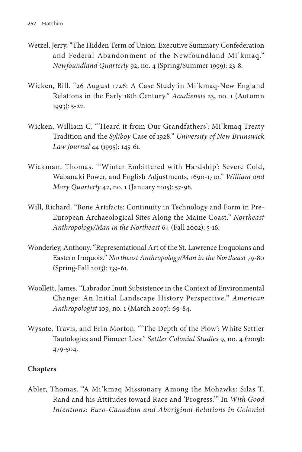- Wetzel, Jerry. "The Hidden Term of Union: Executive Summary Confederation and Federal Abandonment of the Newfoundland Mi'kmaq." *Newfoundland Quarterly* 92, no. 4 (Spring/Summer 1999): 23-8.
- Wicken, Bill. "26 August 1726: A Case Study in Mi'kmaq-New England Relations in the Early 18th Century." *Acadiensis* 23, no. 1 (Autumn 1993): 5-22.
- Wicken, William C. "'Heard it from Our Grandfathers': Mi'kmaq Treaty Tradition and the *Syliboy* Case of 1928." *University of New Brunswick Law Journal* 44 (1995): 145-61.
- Wickman, Thomas. "'Winter Embittered with Hardship': Severe Cold, Wabanaki Power, and English Adjustments, 1690-1710." *William and Mary Quarterly* 42, no. 1 (January 2015): 57-98.
- Will, Richard. "Bone Artifacts: Continuity in Technology and Form in Pre-European Archaeological Sites Along the Maine Coast." *Northeast Anthropology/Man in the Northeast* 64 (Fall 2002): 5-16.
- Wonderley, Anthony. "Representational Art of the St. Lawrence Iroquoians and Eastern Iroquois." *Northeast Anthropology/Man in the Northeast* 79-80 (Spring-Fall 2013): 139-61.
- Woollett, James. "Labrador Inuit Subsistence in the Context of Environmental Change: An Initial Landscape History Perspective." *American Anthropologist* 109, no. 1 (March 2007): 69-84.
- Wysote, Travis, and Erin Morton. "'The Depth of the Plow': White Settler Tautologies and Pioneer Lies." *Settler Colonial Studies* 9, no. 4 (2019): 479-504.

# **Chapters**

Abler, Thomas. "A Mi'kmaq Missionary Among the Mohawks: Silas T. Rand and his Attitudes toward Race and 'Progress.'" In *With Good Intentions: Euro-Canadian and Aboriginal Relations in Colonial*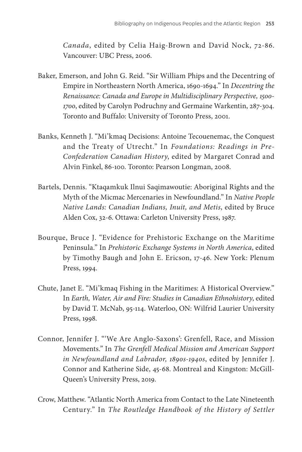*Canada*, edited by Celia Haig-Brown and David Nock, 72-86. Vancouver: UBC Press, 2006.

- Baker, Emerson, and John G. Reid. "Sir William Phips and the Decentring of Empire in Northeastern North America, 1690-1694." In *Decentring the Renaissance: Canada and Europe in Multidisciplinary Perspective, 1500- 1700*, edited by Carolyn Podruchny and Germaine Warkentin, 287-304. Toronto and Buffalo: University of Toronto Press, 2001.
- Banks, Kenneth J. "Mi'kmaq Decisions: Antoine Tecouenemac, the Conquest and the Treaty of Utrecht." In *Foundations: Readings in Pre-Confederation Canadian History*, edited by Margaret Conrad and Alvin Finkel, 86-100. Toronto: Pearson Longman, 2008.
- Bartels, Dennis. "Ktaqamkuk Ilnui Saqimawoutie: Aboriginal Rights and the Myth of the Micmac Mercenaries in Newfoundland." In *Native People Native Lands: Canadian Indians, Inuit, and Metis*, edited by Bruce Alden Cox, 32-6. Ottawa: Carleton University Press, 1987.
- Bourque, Bruce J. "Evidence for Prehistoric Exchange on the Maritime Peninsula." In *Prehistoric Exchange Systems in North America*, edited by Timothy Baugh and John E. Ericson, 17-46. New York: Plenum Press, 1994.
- Chute, Janet E. "Mi'kmaq Fishing in the Maritimes: A Historical Overview." In *Earth, Water, Air and Fire: Studies in Canadian Ethnohistory*, edited by David T. McNab, 95-114. Waterloo, ON: Wilfrid Laurier University Press, 1998.
- Connor, Jennifer J. "'We Are Anglo-Saxons': Grenfell, Race, and Mission Movements." In *The Grenfell Medical Mission and American Support in Newfoundland and Labrador, 1890s-1940s*, edited by Jennifer J. Connor and Katherine Side, 45-68. Montreal and Kingston: McGill-Queen's University Press, 2019.
- Crow, Matthew. "Atlantic North America from Contact to the Late Nineteenth Century." In *The Routledge Handbook of the History of Settler*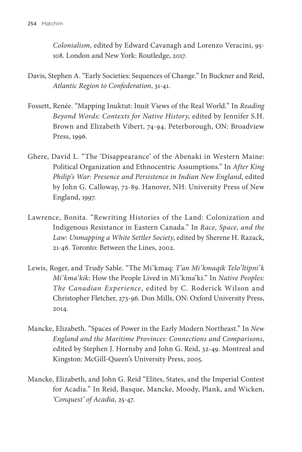*Colonialism*, edited by Edward Cavanagh and Lorenzo Veracini, 95- 108. London and New York: Routledge, 2017.

- Davis, Stephen A. "Early Societies: Sequences of Change." In Buckner and Reid, *Atlantic Region to Confederation*, 31-41.
- Fossett, Renée. "Mapping Inuktut: Inuit Views of the Real World." In *Reading Beyond Words: Contexts for Native History*, edited by Jennifer S.H. Brown and Elizabeth Vibert, 74-94. Peterborough, ON: Broadview Press, 1996.
- Ghere, David L. "The 'Disappearance' of the Abenaki in Western Maine: Political Organization and Ethnocentric Assumptions." In *After King Philip's War: Presence and Persistence in Indian New England*, edited by John G. Calloway, 72-89. Hanover, NH: University Press of New England, 1997.
- Lawrence, Bonita. "Rewriting Histories of the Land: Colonization and Indigenous Resistance in Eastern Canada." In *Race, Space, and the Law: Unmapping a White Settler Society*, edited by Sherene H. Razack, 21-46. Toronto: Between the Lines, 2002.
- Lewis, Roger, and Trudy Sable. "The Mi'kmaq: *T'an Mi'kmaqik Telo'ltipni'k Mi'kma'kik*: How the People Lived in Mi'kma'ki." In *Native Peoples: The Canadian Experience*, edited by C. Roderick Wilson and Christopher Fletcher, 273-96. Don Mills, ON: Oxford University Press, 2014.
- Mancke, Elizabeth. "Spaces of Power in the Early Modern Northeast." In *New England and the Maritime Provinces: Connections and Comparisons*, edited by Stephen J. Hornsby and John G. Reid, 32-49. Montreal and Kingston: McGill-Queen's University Press, 2005.
- Mancke, Elizabeth, and John G. Reid "Elites, States, and the Imperial Contest for Acadia." In Reid, Basque, Mancke, Moody, Plank, and Wicken, *'Conquest' of Acadia,* 25-47.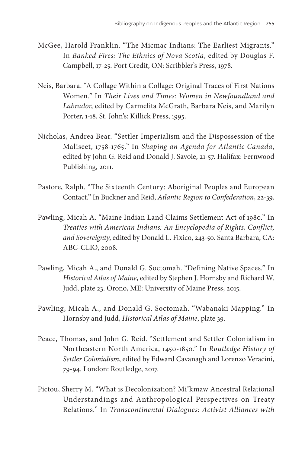- McGee, Harold Franklin. "The Micmac Indians: The Earliest Migrants." In *Banked Fires: The Ethnics of Nova Scotia*, edited by Douglas F. Campbell, 17-25. Port Credit, ON: Scribbler's Press, 1978.
- Neis, Barbara. "A Collage Within a Collage: Original Traces of First Nations Women." In *Their Lives and Times: Women in Newfoundland and Labrador*, edited by Carmelita McGrath, Barbara Neis, and Marilyn Porter, 1-18. St. John's: Killick Press, 1995.
- Nicholas, Andrea Bear. "Settler Imperialism and the Dispossession of the Maliseet, 1758-1765." In *Shaping an Agenda for Atlantic Canada*, edited by John G. Reid and Donald J. Savoie, 21-57. Halifax: Fernwood Publishing, 2011.
- Pastore, Ralph. "The Sixteenth Century: Aboriginal Peoples and European Contact." In Buckner and Reid, *Atlantic Region to Confederation*, 22-39.
- Pawling, Micah A. "Maine Indian Land Claims Settlement Act of 1980." In *Treaties with American Indians: An Encyclopedia of Rights, Conflict, and Sovereignty*, edited by Donald L. Fixico, 243-50. Santa Barbara, CA: ABC-CLIO, 2008.
- Pawling, Micah A., and Donald G. Soctomah. "Defining Native Spaces." In *Historical Atlas of Maine*, edited by Stephen J. Hornsby and Richard W. Judd, plate 23. Orono, ME: University of Maine Press, 2015.
- Pawling, Micah A., and Donald G. Soctomah. "Wabanaki Mapping." In Hornsby and Judd, *Historical Atlas of Maine*, plate 39.
- Peace, Thomas, and John G. Reid. "Settlement and Settler Colonialism in Northeastern North America, 1450-1850." In *Routledge History of Settler Colonialism*, edited by Edward Cavanagh and Lorenzo Veracini, 79-94. London: Routledge, 2017.
- Pictou, Sherry M. "What is Decolonization? Mi'kmaw Ancestral Relational Understandings and Anthropological Perspectives on Treaty Relations." In *Transcontinental Dialogues: Activist Alliances with*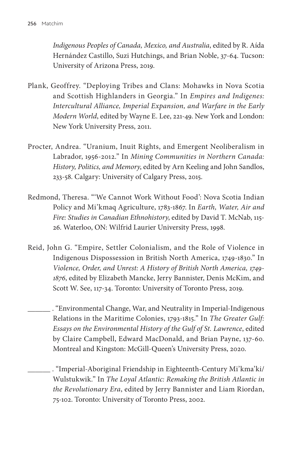*Indigenous Peoples of Canada, Mexico, and Australia*, edited by R. Aída Hernández Castillo, Suzi Hutchings, and Brian Noble, 37-64. Tucson: University of Arizona Press, 2019.

- Plank, Geoffrey. "Deploying Tribes and Clans: Mohawks in Nova Scotia and Scottish Highlanders in Georgia." In *Empires and Indigenes: Intercultural Alliance, Imperial Expansion, and Warfare in the Early Modern World*, edited by Wayne E. Lee, 221-49. New York and London: New York University Press, 2011.
- Procter, Andrea. "Uranium, Inuit Rights, and Emergent Neoliberalism in Labrador, 1956-2012." In *Mining Communities in Northern Canada: History, Politics, and Memory*, edited by Arn Keeling and John Sandlos, 233-58. Calgary: University of Calgary Press, 2015.
- Redmond, Theresa. "'We Cannot Work Without Food': Nova Scotia Indian Policy and Mi'kmaq Agriculture, 1783-1867. In *Earth, Water, Air and Fire: Studies in Canadian Ethnohistory*, edited by David T. McNab, 115- 26. Waterloo, ON: Wilfrid Laurier University Press, 1998.
- Reid, John G. "Empire, Settler Colonialism, and the Role of Violence in Indigenous Dispossession in British North America, 1749-1830." In *Violence, Order, and Unrest: A History of British North America, 1749- 1876*, edited by Elizabeth Mancke, Jerry Bannister, Denis McKim, and Scott W. See, 117-34. Toronto: University of Toronto Press, 2019.

 . "Environmental Change, War, and Neutrality in Imperial-Indigenous Relations in the Maritime Colonies, 1793-1815." In *The Greater Gulf: Essays on the Environmental History of the Gulf of St. Lawrence*, edited by Claire Campbell, Edward MacDonald, and Brian Payne, 137-60. Montreal and Kingston: McGill-Queen's University Press, 2020.

 . "Imperial-Aboriginal Friendship in Eighteenth-Century Mi'kma'ki/ Wulstukwik." In *The Loyal Atlantic: Remaking the British Atlantic in the Revolutionary Era*, edited by Jerry Bannister and Liam Riordan, 75-102. Toronto: University of Toronto Press, 2002.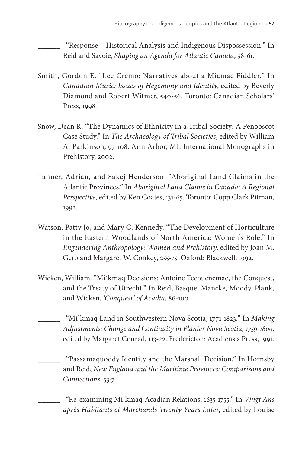. "Response – Historical Analysis and Indigenous Dispossession." In Reid and Savoie, *Shaping an Agenda for Atlantic Canada*, 58-61.

- Smith, Gordon E. "Lee Cremo: Narratives about a Micmac Fiddler." In *Canadian Music: Issues of Hegemony and Identity*, edited by Beverly Diamond and Robert Witmer, 540-56. Toronto: Canadian Scholars' Press, 1998.
- Snow, Dean R. "The Dynamics of Ethnicity in a Tribal Society: A Penobscot Case Study." In *The Archaeology of Tribal Societies*, edited by William A. Parkinson, 97-108. Ann Arbor, MI: International Monographs in Prehistory, 2002.
- Tanner, Adrian, and Sakej Henderson. "Aboriginal Land Claims in the Atlantic Provinces." In *Aboriginal Land Claims in Canada: A Regional Perspective*, edited by Ken Coates, 131-65. Toronto: Copp Clark Pitman, 1992.
- Watson, Patty Jo, and Mary C. Kennedy. "The Development of Horticulture in the Eastern Woodlands of North America: Women's Role." In *Engendering Anthropology: Women and Prehistory*, edited by Joan M. Gero and Margaret W. Conkey, 255-75. Oxford: Blackwell, 1992.
- Wicken, William. "Mi'kmaq Decisions: Antoine Tecouenemac, the Conquest, and the Treaty of Utrecht." In Reid, Basque, Mancke, Moody, Plank, and Wicken, *'Conquest' of Acadia*, 86-100.
- . "Mi'kmaq Land in Southwestern Nova Scotia, 1771-1823." In *Making Adjustments: Change and Continuity in Planter Nova Scotia, 1759-1800*, edited by Margaret Conrad, 113-22. Fredericton: Acadiensis Press, 1991.

 . "Passamaquoddy Identity and the Marshall Decision." In Hornsby and Reid, *New England and the Maritime Provinces: Comparisons and Connections*, 53-7.

 . "Re-examining Mi'kmaq-Acadian Relations, 1635-1755." In *Vingt Ans après Habitants et Marchands Twenty Years Later*, edited by Louise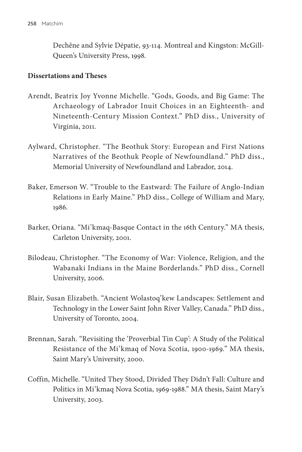Dechêne and Sylvie Dépatie, 93-114. Montreal and Kingston: McGill-Queen's University Press, 1998.

#### **Dissertations and Theses**

- Arendt, Beatrix Joy Yvonne Michelle. "Gods, Goods, and Big Game: The Archaeology of Labrador Inuit Choices in an Eighteenth- and Nineteenth-Century Mission Context." PhD diss., University of Virginia, 2011.
- Aylward, Christopher. "The Beothuk Story: European and First Nations Narratives of the Beothuk People of Newfoundland." PhD diss., Memorial University of Newfoundland and Labrador, 2014.
- Baker, Emerson W. "Trouble to the Eastward: The Failure of Anglo-Indian Relations in Early Maine." PhD diss., College of William and Mary, 1986.
- Barker, Oriana. "Mi'kmaq-Basque Contact in the 16th Century." MA thesis, Carleton University, 2001.
- Bilodeau, Christopher. "The Economy of War: Violence, Religion, and the Wabanaki Indians in the Maine Borderlands." PhD diss., Cornell University, 2006.
- Blair, Susan Elizabeth. "Ancient Wolastoq'kew Landscapes: Settlement and Technology in the Lower Saint John River Valley, Canada." PhD diss., University of Toronto, 2004.
- Brennan, Sarah. "Revisiting the 'Proverbial Tin Cup': A Study of the Political Resistance of the Mi'kmaq of Nova Scotia, 1900-1969." MA thesis, Saint Mary's University, 2000.
- Coffin, Michelle. "United They Stood, Divided They Didn't Fall: Culture and Politics in Mi'kmaq Nova Scotia, 1969-1988." MA thesis, Saint Mary's University, 2003.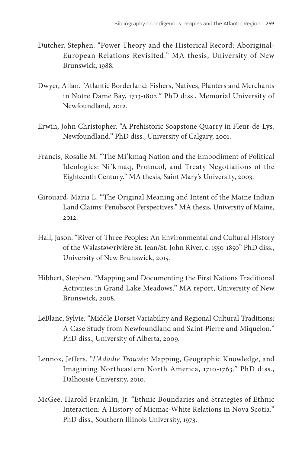- Dutcher, Stephen. "Power Theory and the Historical Record: Aboriginal-European Relations Revisited." MA thesis, University of New Brunswick, 1988.
- Dwyer, Allan. "Atlantic Borderland: Fishers, Natives, Planters and Merchants in Notre Dame Bay, 1713-1802." PhD diss., Memorial University of Newfoundland, 2012.
- Erwin, John Christopher. "A Prehistoric Soapstone Quarry in Fleur-de-Lys, Newfoundland." PhD diss., University of Calgary, 2001.
- Francis, Rosalie M. "The Mi'kmaq Nation and the Embodiment of Political Ideologies: Ni'kmaq, Protocol, and Treaty Negotiations of the Eighteenth Century." MA thesis, Saint Mary's University, 2003.
- Girouard, Maria L. "The Original Meaning and Intent of the Maine Indian Land Claims: Penobscot Perspectives." MA thesis, University of Maine, 2012.
- Hall, Jason. "River of Three Peoples: An Environmental and Cultural History of the Walastaw/rivière St. Jean/St. John River, c. 1550-1850" PhD diss., University of New Brunswick, 2015.
- Hibbert, Stephen. "Mapping and Documenting the First Nations Traditional Activities in Grand Lake Meadows." MA report, University of New Brunswick, 2008.
- LeBlanc, Sylvie. "Middle Dorset Variability and Regional Cultural Traditions: A Case Study from Newfoundland and Saint-Pierre and Miquelon." PhD diss., University of Alberta, 2009.
- Lennox, Jeffers. "*L'Adadie Trouvée*: Mapping, Geographic Knowledge, and Imagining Northeastern North America, 1710-1763." PhD diss., Dalhousie University, 2010.
- McGee, Harold Franklin, Jr. "Ethnic Boundaries and Strategies of Ethnic Interaction: A History of Micmac-White Relations in Nova Scotia." PhD diss., Southern Illinois University, 1973.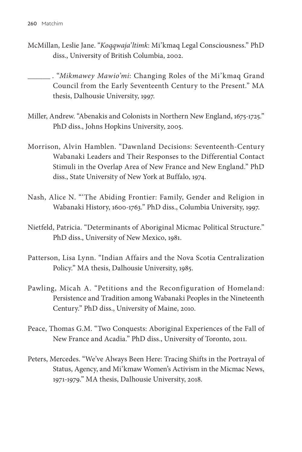McMillan, Leslie Jane. "*Koqqwaja'ltimk*: Mi'kmaq Legal Consciousness." PhD diss., University of British Columbia, 2002.

 . "*Mikmawey Mawio'mi*: Changing Roles of the Mi'kmaq Grand Council from the Early Seventeenth Century to the Present." MA thesis, Dalhousie University, 1997.

- Miller, Andrew. "Abenakis and Colonists in Northern New England, 1675-1725." PhD diss., Johns Hopkins University, 2005.
- Morrison, Alvin Hamblen. "Dawnland Decisions: Seventeenth-Century Wabanaki Leaders and Their Responses to the Differential Contact Stimuli in the Overlap Area of New France and New England." PhD diss., State University of New York at Buffalo, 1974.
- Nash, Alice N. "'The Abiding Frontier: Family, Gender and Religion in Wabanaki History, 1600-1763." PhD diss., Columbia University, 1997.
- Nietfeld, Patricia. "Determinants of Aboriginal Micmac Political Structure." PhD diss., University of New Mexico, 1981.
- Patterson, Lisa Lynn. "Indian Affairs and the Nova Scotia Centralization Policy." MA thesis, Dalhousie University, 1985.
- Pawling, Micah A. "Petitions and the Reconfiguration of Homeland: Persistence and Tradition among Wabanaki Peoples in the Nineteenth Century." PhD diss., University of Maine, 2010.
- Peace, Thomas G.M. "Two Conquests: Aboriginal Experiences of the Fall of New France and Acadia." PhD diss., University of Toronto, 2011.
- Peters, Mercedes. "We've Always Been Here: Tracing Shifts in the Portrayal of Status, Agency, and Mi'kmaw Women's Activism in the Micmac News, 1971-1979." MA thesis, Dalhousie University, 2018.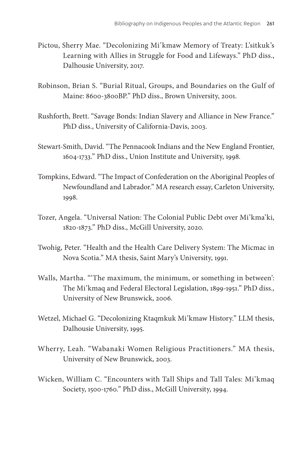- Pictou, Sherry Mae. "Decolonizing Mi'kmaw Memory of Treaty: L'sitkuk's Learning with Allies in Struggle for Food and Lifeways." PhD diss., Dalhousie University, 2017.
- Robinson, Brian S. "Burial Ritual, Groups, and Boundaries on the Gulf of Maine: 8600-3800BP." PhD diss., Brown University, 2001.
- Rushforth, Brett. "Savage Bonds: Indian Slavery and Alliance in New France." PhD diss., University of California-Davis, 2003.
- Stewart-Smith, David. "The Pennacook Indians and the New England Frontier, 1604-1733." PhD diss., Union Institute and University, 1998.
- Tompkins, Edward. "The Impact of Confederation on the Aboriginal Peoples of Newfoundland and Labrador." MA research essay, Carleton University, 1998.
- Tozer, Angela. "Universal Nation: The Colonial Public Debt over Mi'kma'ki, 1820-1873." PhD diss., McGill University, 2020.
- Twohig, Peter. "Health and the Health Care Delivery System: The Micmac in Nova Scotia." MA thesis, Saint Mary's University, 1991.
- Walls, Martha. "'The maximum, the minimum, or something in between': The Mi'kmaq and Federal Electoral Legislation, 1899-1951." PhD diss., University of New Brunswick, 2006.
- Wetzel, Michael G. "Decolonizing Ktaqmkuk Mi'kmaw History." LLM thesis, Dalhousie University, 1995.
- Wherry, Leah. "Wabanaki Women Religious Practitioners." MA thesis, University of New Brunswick, 2003.
- Wicken, William C. "Encounters with Tall Ships and Tall Tales: Mi'kmaq Society, 1500-1760." PhD diss., McGill University, 1994.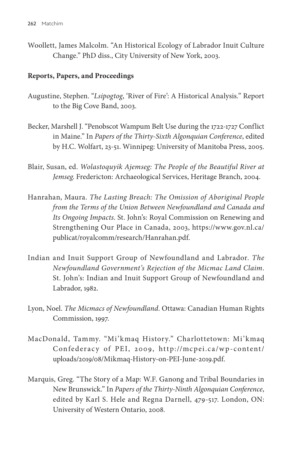Woollett, James Malcolm. "An Historical Ecology of Labrador Inuit Culture Change." PhD diss., City University of New York, 2003.

# **Reports, Papers, and Proceedings**

- Augustine, Stephen. "*Lsipogtog*, 'River of Fire': A Historical Analysis." Report to the Big Cove Band, 2003.
- Becker, Marshell J. "Penobscot Wampum Belt Use during the 1722-1727 Conflict in Maine." In *Papers of the Thirty-Sixth Algonquian Conference*, edited by H.C. Wolfart, 23-51. Winnipeg: University of Manitoba Press, 2005.
- Blair, Susan, ed. *Wolastoquyik Ajemseg: The People of the Beautiful River at Jemseg*. Fredericton: Archaeological Services, Heritage Branch, 2004.
- Hanrahan, Maura. *The Lasting Breach: The Omission of Aboriginal People from the Terms of the Union Between Newfoundland and Canada and Its Ongoing Impacts*. St. John's: Royal Commission on Renewing and Strengthening Our Place in Canada, 2003, https://www.gov.nl.ca/ publicat/royalcomm/research/Hanrahan.pdf.
- Indian and Inuit Support Group of Newfoundland and Labrador. *The Newfoundland Government's Rejection of the Micmac Land Claim*. St. John's: Indian and Inuit Support Group of Newfoundland and Labrador, 1982.
- Lyon, Noel. *The Micmacs of Newfoundland*. Ottawa: Canadian Human Rights Commission, 1997.
- MacDonald, Tammy. "Mi'kmaq History." Charlottetown: Mi'kmaq Confederacy of PEI, 2009, http://mcpei.ca/wp-content/ uploads/2019/08/Mikmaq-History-on-PEI-June-2019.pdf.
- Marquis, Greg. "The Story of a Map: W.F. Ganong and Tribal Boundaries in New Brunswick." In *Papers of the Thirty-Ninth Algonquian Conference*, edited by Karl S. Hele and Regna Darnell, 479-517. London, ON: University of Western Ontario, 2008.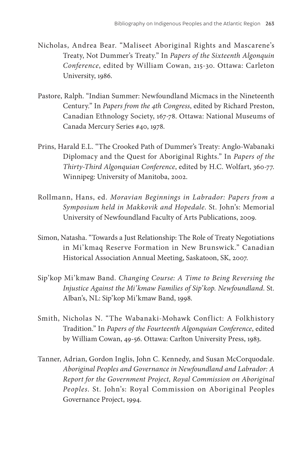- Nicholas, Andrea Bear. "Maliseet Aboriginal Rights and Mascarene's Treaty, Not Dummer's Treaty." In *Papers of the Sixteenth Algonquin Conference*, edited by William Cowan, 215-30. Ottawa: Carleton University, 1986.
- Pastore, Ralph. "Indian Summer: Newfoundland Micmacs in the Nineteenth Century." In *Papers from the 4th Congress*, edited by Richard Preston, Canadian Ethnology Society, 167-78. Ottawa: National Museums of Canada Mercury Series #40, 1978.
- Prins, Harald E.L. "The Crooked Path of Dummer's Treaty: Anglo-Wabanaki Diplomacy and the Quest for Aboriginal Rights." In *Papers of the Thirty-Third Algonquian Conference*, edited by H.C. Wolfart, 360-77. Winnipeg: University of Manitoba, 2002.
- Rollmann, Hans, ed. *Moravian Beginnings in Labrador: Papers from a Symposium held in Makkovik and Hopedale*. St. John's: Memorial University of Newfoundland Faculty of Arts Publications, 2009.
- Simon, Natasha. "Towards a Just Relationship: The Role of Treaty Negotiations in Mi'kmaq Reserve Formation in New Brunswick." Canadian Historical Association Annual Meeting, Saskatoon, SK, 2007.
- Sip'kop Mi'kmaw Band. *Changing Course: A Time to Being Reversing the Injustice Against the Mi'kmaw Families of Sip'kop. Newfoundland*. St. Alban's, NL: Sip'kop Mi'kmaw Band, 1998.
- Smith, Nicholas N. "The Wabanaki-Mohawk Conflict: A Folkhistory Tradition." In *Papers of the Fourteenth Algonquian Conference*, edited by William Cowan, 49-56. Ottawa: Carlton University Press, 1983.
- Tanner, Adrian, Gordon Inglis, John C. Kennedy, and Susan McCorquodale. *Aboriginal Peoples and Governance in Newfoundland and Labrador: A Report for the Government Project, Royal Commission on Aboriginal Peoples*. St. John's: Royal Commission on Aboriginal Peoples Governance Project, 1994.